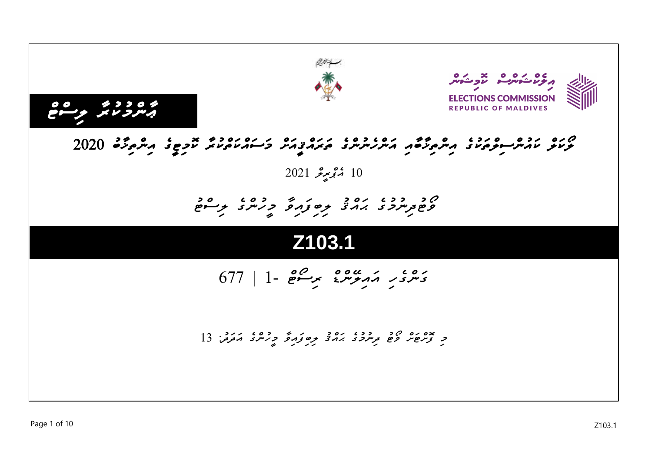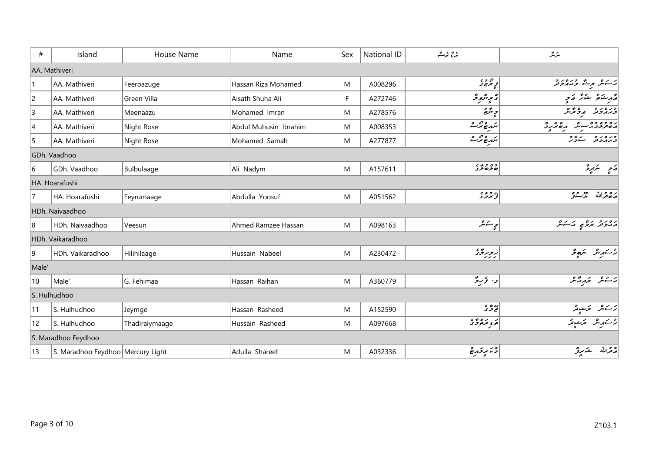| #              | Island                            | House Name     | Name                  | Sex       | National ID | ، ه ، بر<br>مربح <b>بر</b> ک          | ىئرىتر                                                            |
|----------------|-----------------------------------|----------------|-----------------------|-----------|-------------|---------------------------------------|-------------------------------------------------------------------|
|                | AA. Mathiveri                     |                |                       |           |             |                                       |                                                                   |
|                | AA. Mathiveri                     | Feeroazuge     | Hassan Riza Mohamed   | M         | A008296     | و چې د پر<br>مړينې د                  | پر کاهر استفاد در در در در در در در در استفاده کردند              |
| 2              | AA. Mathiveri                     | Green Villa    | Aisath Shuha Ali      | F         | A272746     | <sup>ە</sup> بېرىئر <sub>ىم</sub> ۇ   | أقهر مشتمره الشرش أتدعر                                           |
| 3              | AA. Mathiveri                     | Meenaazu       | Mohamed Imran         | M         | A278576     | ج سُرَّج                              | ەر ئەمەشر<br>  <i>د بر ه ب</i> ر و                                |
| $\overline{4}$ | AA. Mathiveri                     | Night Rose     | Abdul Muhusin Ibrahim | M         | A008353     | لتدقيق                                | ەھەترىرى<br>ر ه و ه و ه<br>پره تر تر تر ر                         |
| 5              | AA. Mathiveri                     | Night Rose     | Mohamed Samah         | M         | A277877     | سَمَهِ عَقْرَ كَ                      | و ره ر و<br><i>د بر</i> پر تر                                     |
|                | GDh. Vaadhoo                      |                |                       |           |             |                                       |                                                                   |
| 6              | GDh. Vaadhoo                      | Bulbulaage     | Ali Nadym             | M         | A157611     | د ه د و و ،<br><b>ن نرن</b> نو د      | پر پر سر پر د                                                     |
|                | HA. Hoarafushi                    |                |                       |           |             |                                       |                                                                   |
|                | HA. Hoarafushi                    | Feyrumaage     | Abdulla Yoosuf        | M         | A051562     | ړ، و و ،<br>تو بورنو <sub>ک</sub>     | رَهُ مِّدَاللَّهُ مَرْتَّوْ                                       |
|                | HDh. Naivaadhoo                   |                |                       |           |             |                                       |                                                                   |
| 8              | HDh. Naivaadhoo                   | Veesun         | Ahmed Ramzee Hassan   | ${\sf M}$ | A098163     | ا <sub>ھو</sub> سەمىر                 | رور و رو پر ټر کر                                                 |
|                | HDh. Vaikaradhoo                  |                |                       |           |             |                                       |                                                                   |
| 9              | HDh. Vaikaradhoo                  | Hilihilaage    | Hussain Nabeel        | ${\sf M}$ | A230472     | ار ورځ د<br>ار ورځ د                  | بر كىم سىر سىر كى بىر                                             |
| Male'          |                                   |                |                       |           |             |                                       |                                                                   |
| 10             | Male'                             | G. Fehimaa     | Hassan Raihan         | M         | A360779     | ى - تۇرىچ                             | يز سەش ئىمەر شىر                                                  |
|                | S. Hulhudhoo                      |                |                       |           |             |                                       |                                                                   |
| 11             | S. Hulhudhoo                      | Jeymge         | Hassan Rasheed        | ${\sf M}$ | A152590     | 2 ص ح<br>  قع حر تح                   | ىرىسىگە ئىمرىشونى<br>ئەسكەرلىقى ئىمرىشونى<br>ئەسكەرلىقى ئىمرىشونى |
| 12             | S. Hulhudhoo                      | Thadiraiymaage | Hussain Rasheed       | M         | A097668     | ر ره و و<br>مو مرمور د                |                                                                   |
|                | S. Maradhoo Feydhoo               |                |                       |           |             |                                       |                                                                   |
| 13             | S. Maradhoo Feydhoo Mercury Light |                | Adulla Shareef        | M         | A032336     | دسم س <sub>ی</sub> ر کرد.<br>مسیر کرد | قرقمرالله شمعرمر                                                  |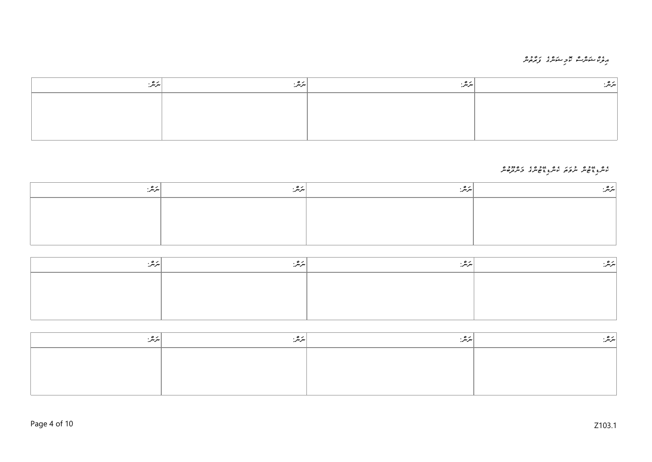## *w7qAn8m?sCw7mRo>u;wEw7mRw;sBo<*

| ' مرمر | 'يئرىثر: |
|--------|----------|
|        |          |
|        |          |
|        |          |

## *w7q9r@w7m>sCw7qHtFoFw7s;mAm=q7w7qHtFoFw7s;*

| بر ه | ىر مىر |  |
|------|--------|--|
|      |        |  |
|      |        |  |
|      |        |  |

| $\frac{2}{n}$ | $\overline{\phantom{a}}$ | اير هنه. | $\mathcal{O} \times$<br>سرسر |
|---------------|--------------------------|----------|------------------------------|
|               |                          |          |                              |
|               |                          |          |                              |
|               |                          |          |                              |

| ' ئىرتىر: | سر سر |  |
|-----------|-------|--|
|           |       |  |
|           |       |  |
|           |       |  |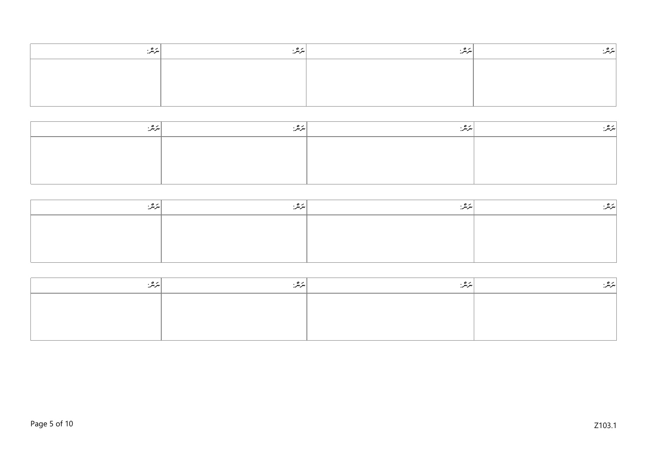| يزهر | $^{\circ}$ | ىئرىتر: |  |
|------|------------|---------|--|
|      |            |         |  |
|      |            |         |  |
|      |            |         |  |

| <sup>.</sup> سرسر. |  |
|--------------------|--|
|                    |  |
|                    |  |
|                    |  |

| ىئرىتر. | $\sim$ | ا بر هه. | لىرىش |
|---------|--------|----------|-------|
|         |        |          |       |
|         |        |          |       |
|         |        |          |       |

| $\overline{\phantom{a}}$<br>سرس. | ر ه<br>,,, | . . | 。<br>سرس. |
|----------------------------------|------------|-----|-----------|
|                                  |            |     |           |
|                                  |            |     |           |
|                                  |            |     |           |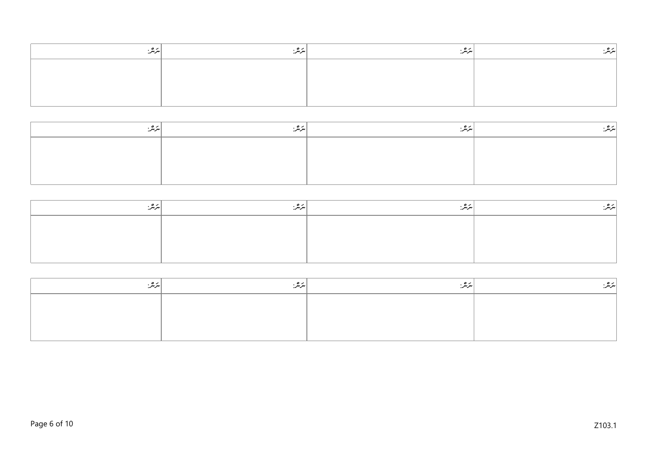| ير هو . | $\overline{\phantom{a}}$ | يرمر | اير هنه. |
|---------|--------------------------|------|----------|
|         |                          |      |          |
|         |                          |      |          |
|         |                          |      |          |

| ئىرتىر: | $\sim$<br>ا سرسر . | يئرمثر | o . |
|---------|--------------------|--------|-----|
|         |                    |        |     |
|         |                    |        |     |
|         |                    |        |     |

| الترنثر: | ' مرتكز: | الترنثر: | .,<br>سرس. |
|----------|----------|----------|------------|
|          |          |          |            |
|          |          |          |            |
|          |          |          |            |

|  | . ه |
|--|-----|
|  |     |
|  |     |
|  |     |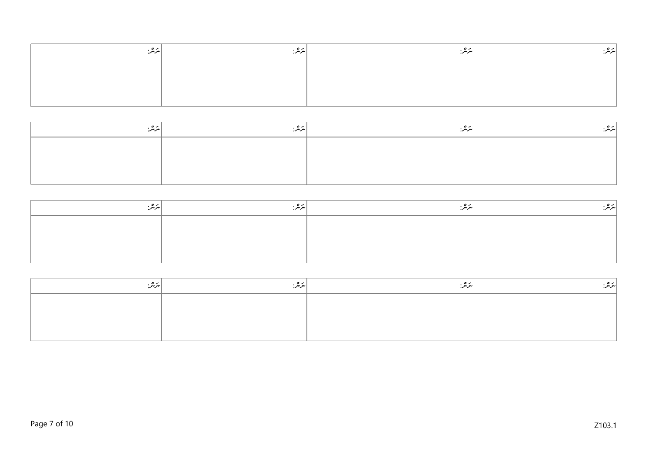| ير هو . | $\overline{\phantom{a}}$ | يرمر | اير هنه. |
|---------|--------------------------|------|----------|
|         |                          |      |          |
|         |                          |      |          |
|         |                          |      |          |

| ئىرتىر: | $\sim$<br>ا سرسر . | يئرمثر | o . |
|---------|--------------------|--------|-----|
|         |                    |        |     |
|         |                    |        |     |
|         |                    |        |     |

| نتزيتر به | 。 | 。<br>سرسر. | o <i>~</i> |
|-----------|---|------------|------------|
|           |   |            |            |
|           |   |            |            |
|           |   |            |            |

| 。 |  |  |
|---|--|--|
|   |  |  |
|   |  |  |
|   |  |  |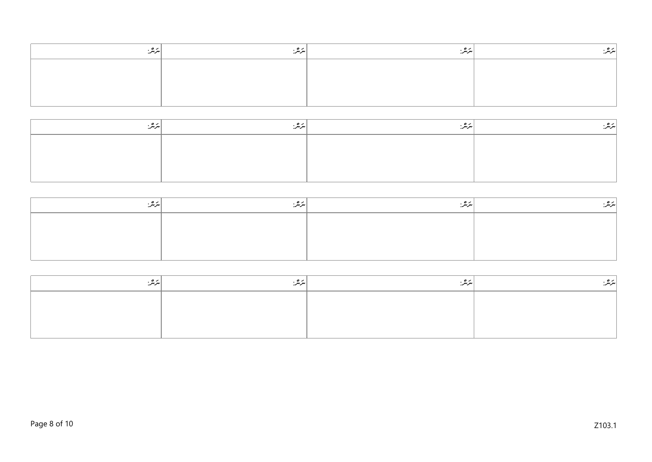| $\cdot$ | 。 | $\frac{\circ}{\cdot}$ | $\sim$<br>سرسر |
|---------|---|-----------------------|----------------|
|         |   |                       |                |
|         |   |                       |                |
|         |   |                       |                |

| يريثن | ' سرسر . |  |
|-------|----------|--|
|       |          |  |
|       |          |  |
|       |          |  |

| بر ه | 。 | $\sim$<br>َ سومس. |  |
|------|---|-------------------|--|
|      |   |                   |  |
|      |   |                   |  |
|      |   |                   |  |

| سرسر: | ,,, |  |
|-------|-----|--|
|       |     |  |
|       |     |  |
|       |     |  |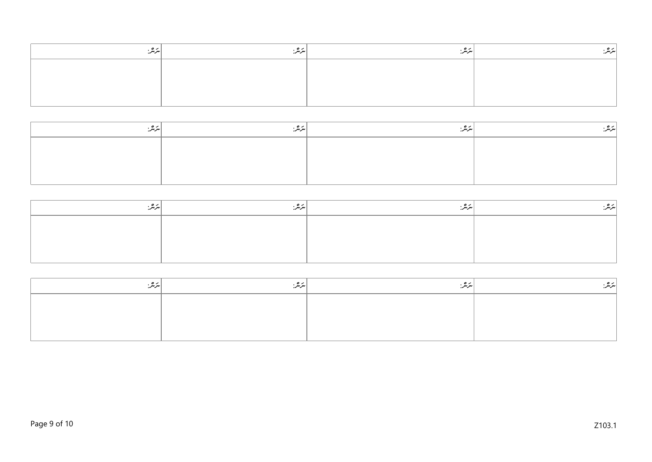| ير هو . | $\overline{\phantom{a}}$ | يرمر | اير هنه. |
|---------|--------------------------|------|----------|
|         |                          |      |          |
|         |                          |      |          |
|         |                          |      |          |

| ىر تىر: | $\circ$ $\sim$<br>" سرسر . | يترمير | o . |
|---------|----------------------------|--------|-----|
|         |                            |        |     |
|         |                            |        |     |
|         |                            |        |     |

| الترنثر: | ' مرتكز: | الترنثر: | .,<br>سرس. |
|----------|----------|----------|------------|
|          |          |          |            |
|          |          |          |            |
|          |          |          |            |

|  | . ه |
|--|-----|
|  |     |
|  |     |
|  |     |